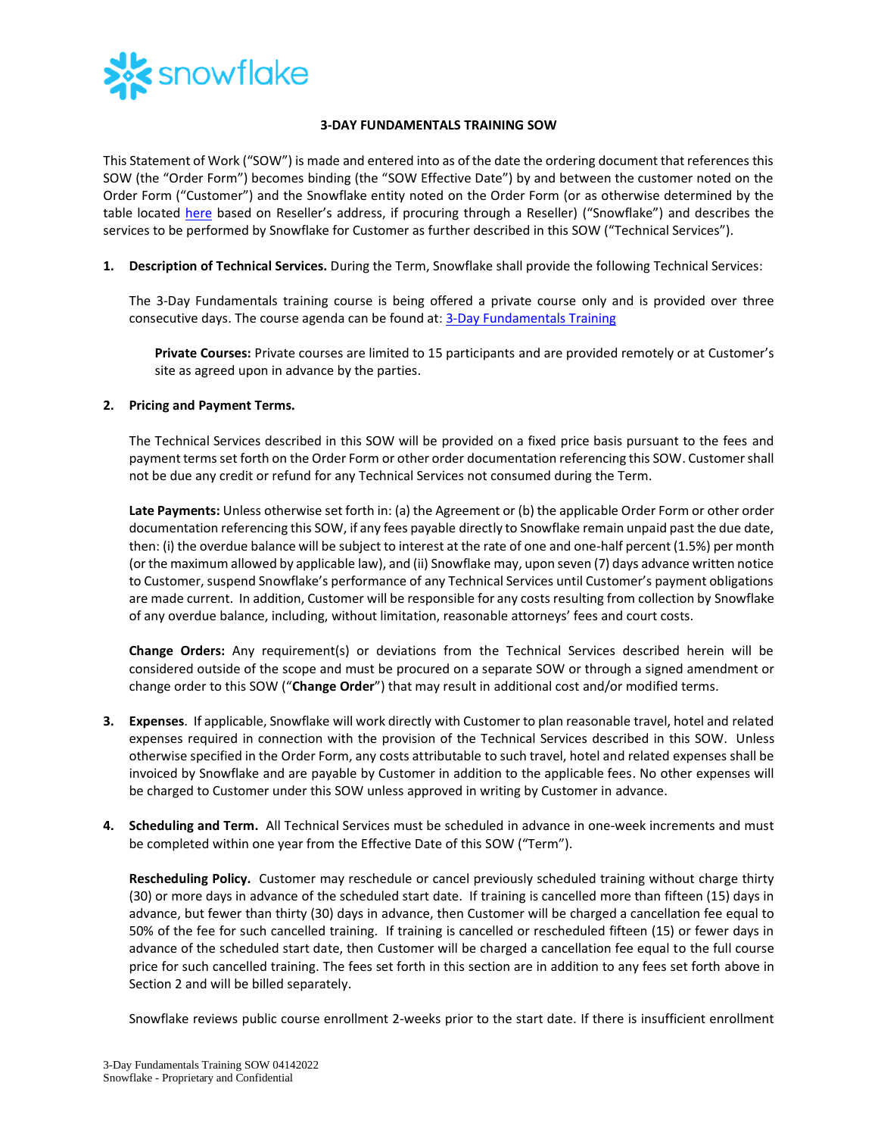

## **3-DAY FUNDAMENTALS TRAINING SOW**

This Statement of Work ("SOW") is made and entered into as of the date the ordering document that references this SOW (the "Order Form") becomes binding (the "SOW Effective Date") by and between the customer noted on the Order Form ("Customer") and the Snowflake entity noted on the Order Form (or as otherwise determined by the table located [here](https://www.snowflake.com/legal/snowflake-contracting-entities/) based on Reseller's address, if procuring through a Reseller) ("Snowflake") and describes the services to be performed by Snowflake for Customer as further described in this SOW ("Technical Services").

**1. Description of Technical Services.** During the Term, Snowflake shall provide the following Technical Services:

The 3-Day Fundamentals training course is being offered a private course only and is provided over three consecutive days. The course agenda can be found at: [3-Day Fundamentals Training](https://bit.ly/3DayFund-datasheet)

**Private Courses:** Private courses are limited to 15 participants and are provided remotely or at Customer's site as agreed upon in advance by the parties.

## **2. Pricing and Payment Terms.**

The Technical Services described in this SOW will be provided on a fixed price basis pursuant to the fees and payment terms set forth on the Order Form or other order documentation referencing this SOW. Customer shall not be due any credit or refund for any Technical Services not consumed during the Term.

**Late Payments:** Unless otherwise set forth in: (a) the Agreement or (b) the applicable Order Form or other order documentation referencing this SOW, if any fees payable directly to Snowflake remain unpaid past the due date, then: (i) the overdue balance will be subject to interest at the rate of one and one-half percent (1.5%) per month (or the maximum allowed by applicable law), and (ii) Snowflake may, upon seven (7) days advance written notice to Customer, suspend Snowflake's performance of any Technical Services until Customer's payment obligations are made current. In addition, Customer will be responsible for any costs resulting from collection by Snowflake of any overdue balance, including, without limitation, reasonable attorneys' fees and court costs.

**Change Orders:** Any requirement(s) or deviations from the Technical Services described herein will be considered outside of the scope and must be procured on a separate SOW or through a signed amendment or change order to this SOW ("**Change Order**") that may result in additional cost and/or modified terms.

- **3. Expenses**. If applicable, Snowflake will work directly with Customer to plan reasonable travel, hotel and related expenses required in connection with the provision of the Technical Services described in this SOW. Unless otherwise specified in the Order Form, any costs attributable to such travel, hotel and related expenses shall be invoiced by Snowflake and are payable by Customer in addition to the applicable fees. No other expenses will be charged to Customer under this SOW unless approved in writing by Customer in advance.
- **4. Scheduling and Term.** All Technical Services must be scheduled in advance in one-week increments and must be completed within one year from the Effective Date of this SOW ("Term").

**Rescheduling Policy.** Customer may reschedule or cancel previously scheduled training without charge thirty (30) or more days in advance of the scheduled start date. If training is cancelled more than fifteen (15) days in advance, but fewer than thirty (30) days in advance, then Customer will be charged a cancellation fee equal to 50% of the fee for such cancelled training. If training is cancelled or rescheduled fifteen (15) or fewer days in advance of the scheduled start date, then Customer will be charged a cancellation fee equal to the full course price for such cancelled training. The fees set forth in this section are in addition to any fees set forth above in Section 2 and will be billed separately.

Snowflake reviews public course enrollment 2-weeks prior to the start date. If there is insufficient enrollment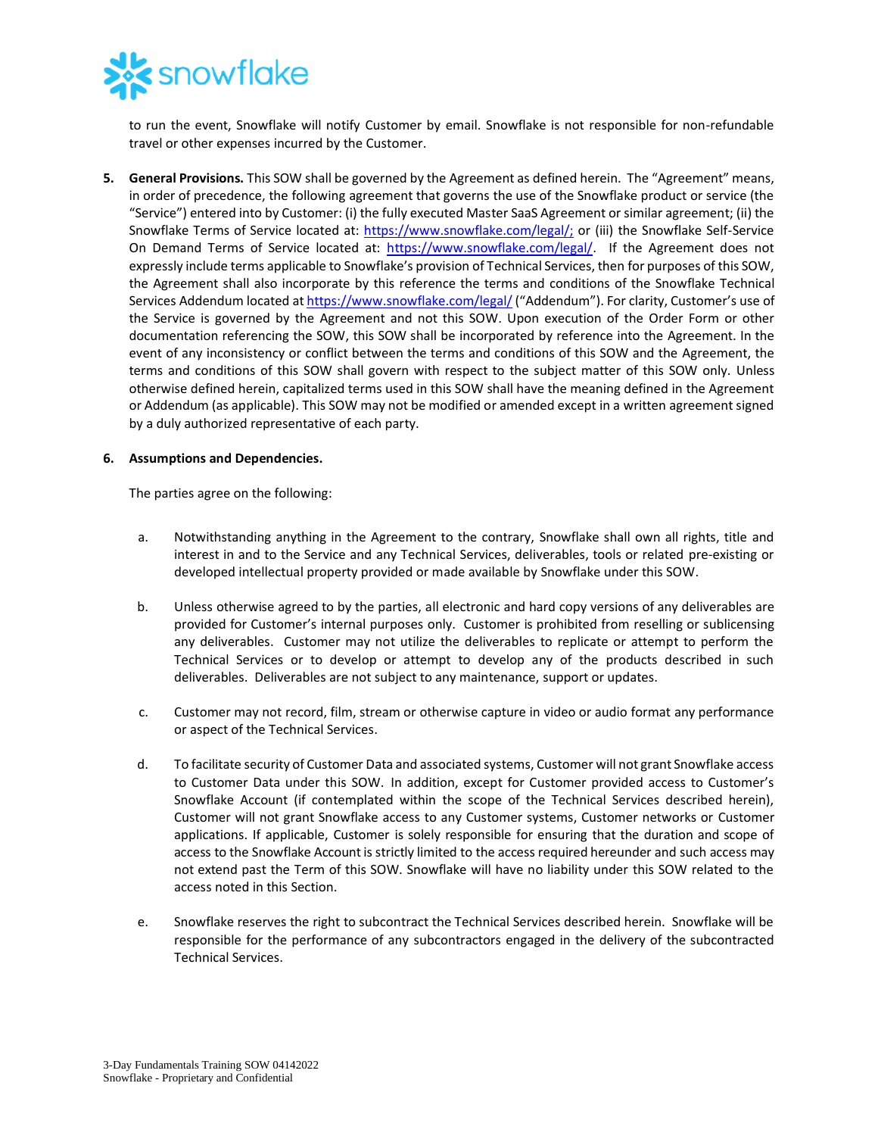

to run the event, Snowflake will notify Customer by email. Snowflake is not responsible for non-refundable travel or other expenses incurred by the Customer.

**5. General Provisions.** This SOW shall be governed by the Agreement as defined herein. The "Agreement" means, in order of precedence, the following agreement that governs the use of the Snowflake product or service (the "Service") entered into by Customer: (i) the fully executed Master SaaS Agreement or similar agreement; (ii) the Snowflake Terms of Service located at: [https://www.snowflake.com/legal/;](https://www.snowflake.com/legal/) or (iii) the Snowflake Self-Service On Demand Terms of Service located at: [https://www.snowflake.com/legal/.](https://www.snowflake.com/legal/) If the Agreement does not expressly include terms applicable to Snowflake's provision of Technical Services, then for purposes of this SOW, the Agreement shall also incorporate by this reference the terms and conditions of the Snowflake Technical Services Addendum located a[t https://www.snowflake.com/legal/](https://www.snowflake.com/legal/) ("Addendum"). For clarity, Customer's use of the Service is governed by the Agreement and not this SOW. Upon execution of the Order Form or other documentation referencing the SOW, this SOW shall be incorporated by reference into the Agreement. In the event of any inconsistency or conflict between the terms and conditions of this SOW and the Agreement, the terms and conditions of this SOW shall govern with respect to the subject matter of this SOW only. Unless otherwise defined herein, capitalized terms used in this SOW shall have the meaning defined in the Agreement or Addendum (as applicable). This SOW may not be modified or amended except in a written agreement signed by a duly authorized representative of each party.

## **6. Assumptions and Dependencies.**

The parties agree on the following:

- a. Notwithstanding anything in the Agreement to the contrary, Snowflake shall own all rights, title and interest in and to the Service and any Technical Services, deliverables, tools or related pre-existing or developed intellectual property provided or made available by Snowflake under this SOW.
- b. Unless otherwise agreed to by the parties, all electronic and hard copy versions of any deliverables are provided for Customer's internal purposes only. Customer is prohibited from reselling or sublicensing any deliverables. Customer may not utilize the deliverables to replicate or attempt to perform the Technical Services or to develop or attempt to develop any of the products described in such deliverables. Deliverables are not subject to any maintenance, support or updates.
- c. Customer may not record, film, stream or otherwise capture in video or audio format any performance or aspect of the Technical Services.
- d. To facilitate security of Customer Data and associated systems, Customer will not grant Snowflake access to Customer Data under this SOW. In addition, except for Customer provided access to Customer's Snowflake Account (if contemplated within the scope of the Technical Services described herein), Customer will not grant Snowflake access to any Customer systems, Customer networks or Customer applications. If applicable, Customer is solely responsible for ensuring that the duration and scope of access to the Snowflake Account is strictly limited to the access required hereunder and such access may not extend past the Term of this SOW. Snowflake will have no liability under this SOW related to the access noted in this Section.
- e. Snowflake reserves the right to subcontract the Technical Services described herein. Snowflake will be responsible for the performance of any subcontractors engaged in the delivery of the subcontracted Technical Services.